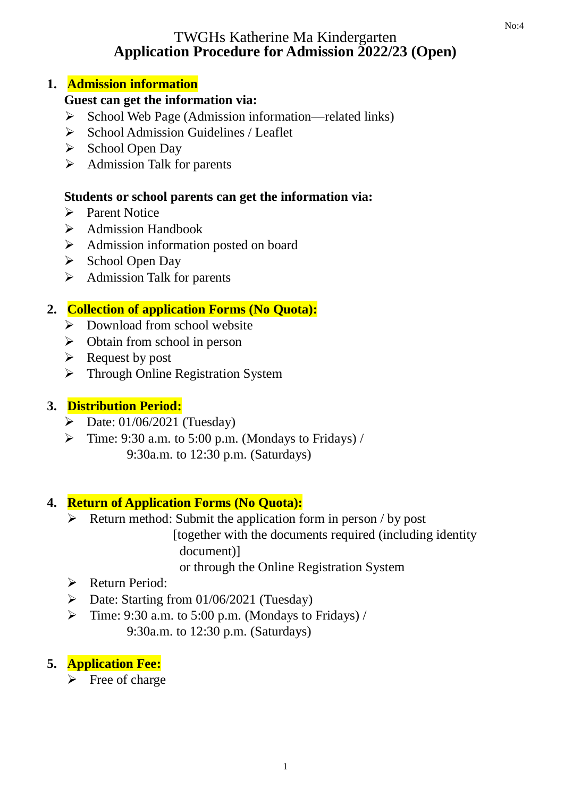## TWGHs Katherine Ma Kindergarten **Application Procedure for Admission 2022/23 (Open)**

## **1. Admission information**

# **Guest can get the information via:**

- ➢ School Web Page (Admission information—related links)
- ➢ School Admission Guidelines / Leaflet
- ➢ School Open Day
- ➢ Admission Talk for parents

# **Students or school parents can get the information via:**

- ➢ Parent Notice
- ➢ Admission Handbook
- ➢ Admission information posted on board
- ➢ School Open Day
- ➢ Admission Talk for parents

# **2. Collection of application Forms (No Quota):**

- ➢ Download from school website
- $\triangleright$  Obtain from school in person
- ➢ Request by post
- ➢ Through Online Registration System

# **3. Distribution Period:**

- $\triangleright$  Date: 01/06/2021 (Tuesday)
- $\triangleright$  Time: 9:30 a.m. to 5:00 p.m. (Mondays to Fridays) / 9:30a.m. to 12:30 p.m. (Saturdays)

# **4. Return of Application Forms (No Quota):**

 $\triangleright$  Return method: Submit the application form in person / by post

[together with the documents required (including identity document)]

or through the Online Registration System

- ➢ Return Period:
- ➢ Date: Starting from 01/06/2021 (Tuesday)
- $\triangleright$  Time: 9:30 a.m. to 5:00 p.m. (Mondays to Fridays) / 9:30a.m. to 12:30 p.m. (Saturdays)

# **5. Application Fee:**

 $\triangleright$  Free of charge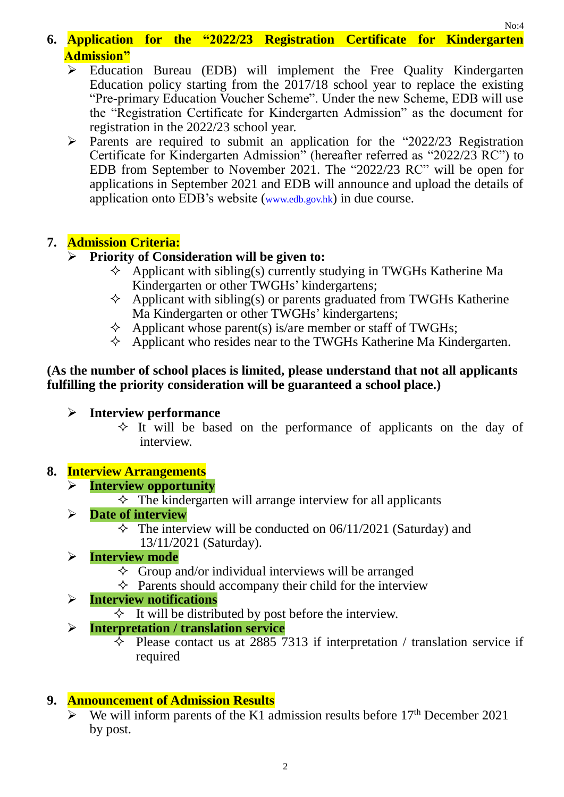- **6. Application for the "2022/23 Registration Certificate for Kindergarten Admission"**
	- ➢ Education Bureau (EDB) will implement the Free Quality Kindergarten Education policy starting from the 2017/18 school year to replace the existing "Pre-primary Education Voucher Scheme". Under the new Scheme, EDB will use the "Registration Certificate for Kindergarten Admission" as the document for registration in the 2022/23 school year.
	- ➢ Parents are required to submit an application for the "2022/23 Registration Certificate for Kindergarten Admission" (hereafter referred as "2022/23 RC") to EDB from September to November 2021. The "2022/23 RC" will be open for applications in September 2021 and EDB will announce and upload the details of application onto EDB's website (www.edb.gov.hk) in due course.

## **7. Admission Criteria:**

### ➢ **Priority of Consideration will be given to:**

- $\Diamond$  Applicant with sibling(s) currently studying in TWGHs Katherine Ma Kindergarten or other TWGHs' kindergartens;
- $\Diamond$  Applicant with sibling(s) or parents graduated from TWGHs Katherine Ma Kindergarten or other TWGHs' kindergartens;
- $\Diamond$  Applicant whose parent(s) is/are member or staff of TWGHs;
- $\Diamond$  Applicant who resides near to the TWGHs Katherine Ma Kindergarten.

#### **(As the number of school places is limited, please understand that not all applicants fulfilling the priority consideration will be guaranteed a school place.)**

- ➢ **Interview performance**
	- $\Diamond$  It will be based on the performance of applicants on the day of interview.

### **8. Interview Arrangements**

### ➢ **Interview opportunity**

 $\Diamond$  The kindergarten will arrange interview for all applicants

### ➢ **Date of interview**

 $\Diamond$  The interview will be conducted on 06/11/2021 (Saturday) and 13/11/2021 (Saturday).

### ➢ **Interview mode**

- $\Diamond$  Group and/or individual interviews will be arranged
- $\Diamond$  Parents should accompany their child for the interview

### ➢ **Interview notifications**

 $\Diamond$  It will be distributed by post before the interview.

### ➢ **Interpretation / translation service**

 $\Diamond$  Please contact us at 2885 7313 if interpretation / translation service if required

## **9. Announcement of Admission Results**

We will inform parents of the K1 admission results before  $17<sup>th</sup>$  December 2021 by post.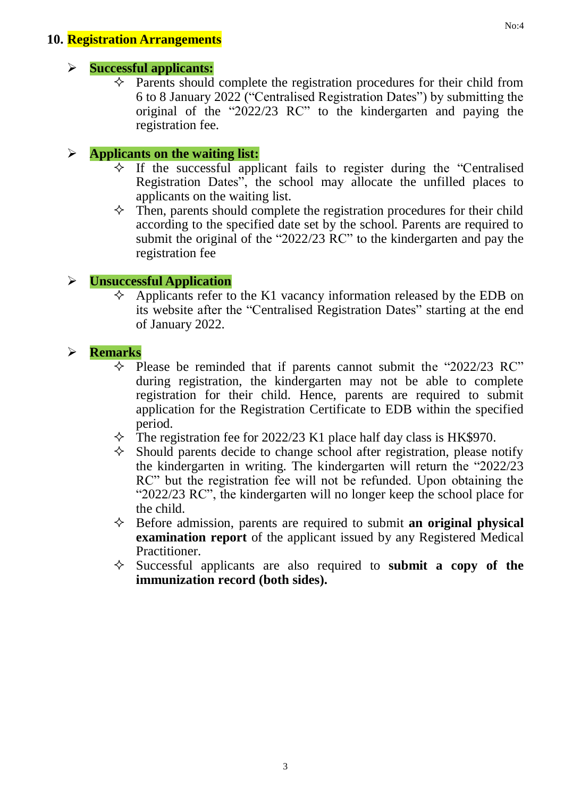#### **10. Registration Arrangements**

#### ➢ **Successful applicants:**

 $\Diamond$  Parents should complete the registration procedures for their child from 6 to 8 January 2022 ("Centralised Registration Dates") by submitting the original of the "2022/23 RC" to the kindergarten and paying the registration fee.

### ➢ **Applicants on the waiting list:**

- $\Diamond$  If the successful applicant fails to register during the "Centralised" Registration Dates", the school may allocate the unfilled places to applicants on the waiting list.
- $\Diamond$  Then, parents should complete the registration procedures for their child according to the specified date set by the school. Parents are required to submit the original of the "2022/23 RC" to the kindergarten and pay the registration fee

### ➢ **Unsuccessful Application**

 $\overline{\diamond}$  Applicants refer to the K1 vacancy information released by the EDB on its website after the "Centralised Registration Dates" starting at the end of January 2022.

### ➢ **Remarks**

- $\Diamond$  Please be reminded that if parents cannot submit the "2022/23 RC" during registration, the kindergarten may not be able to complete registration for their child. Hence, parents are required to submit application for the Registration Certificate to EDB within the specified period.
- $\Diamond$  The registration fee for 2022/23 K1 place half day class is HK\$970.
- $\Diamond$  Should parents decide to change school after registration, please notify the kindergarten in writing. The kindergarten will return the "2022/23 RC" but the registration fee will not be refunded. Upon obtaining the "2022/23 RC", the kindergarten will no longer keep the school place for the child.
- $\Diamond$  Before admission, parents are required to submit **an original physical examination report** of the applicant issued by any Registered Medical Practitioner.
- $\Diamond$  Successful applicants are also required to **submit a copy of the immunization record (both sides).**